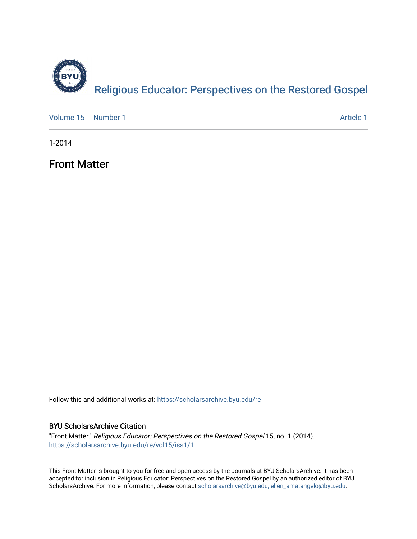

[Volume 15](https://scholarsarchive.byu.edu/re/vol15) [Number 1](https://scholarsarchive.byu.edu/re/vol15/iss1) Article 1

1-2014

Front Matter

Follow this and additional works at: [https://scholarsarchive.byu.edu/re](https://scholarsarchive.byu.edu/re?utm_source=scholarsarchive.byu.edu%2Fre%2Fvol15%2Fiss1%2F1&utm_medium=PDF&utm_campaign=PDFCoverPages)

## BYU ScholarsArchive Citation

"Front Matter." Religious Educator: Perspectives on the Restored Gospel 15, no. 1 (2014). [https://scholarsarchive.byu.edu/re/vol15/iss1/1](https://scholarsarchive.byu.edu/re/vol15/iss1/1?utm_source=scholarsarchive.byu.edu%2Fre%2Fvol15%2Fiss1%2F1&utm_medium=PDF&utm_campaign=PDFCoverPages) 

This Front Matter is brought to you for free and open access by the Journals at BYU ScholarsArchive. It has been accepted for inclusion in Religious Educator: Perspectives on the Restored Gospel by an authorized editor of BYU ScholarsArchive. For more information, please contact [scholarsarchive@byu.edu, ellen\\_amatangelo@byu.edu.](mailto:scholarsarchive@byu.edu,%20ellen_amatangelo@byu.edu)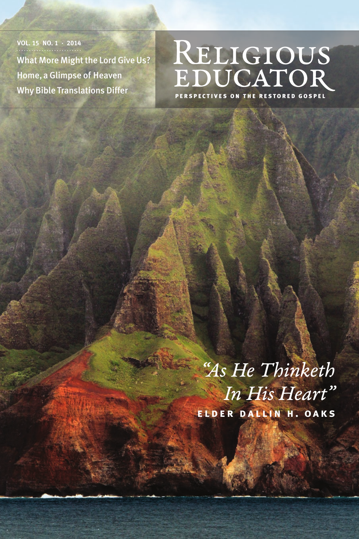**VOL. 15 NO. 1 · 2014** What More Might the Lord Give Us? Home, a Glimpse of Heaven Why Bible Translations Differ

## RELIGIOUS<br>EDUCATOR

PERSPECTIVES ON THE RESTORED GOSPEL

*"As He Thinketh In His Heart"* **elder dallin h. oaks**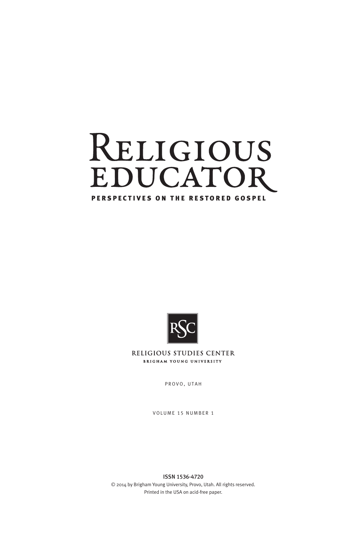



RELIGIOUS STUDIES CENTER **BRIGHAM YOUNG UNIVERSITY** 

PROVO, UTAH

VOLUME 15 NUMBER 1

ISSN 1536-4720 © 2014 by Brigham Young University, Provo, Utah. All rights reserved. Printed in the USA on acid-free paper.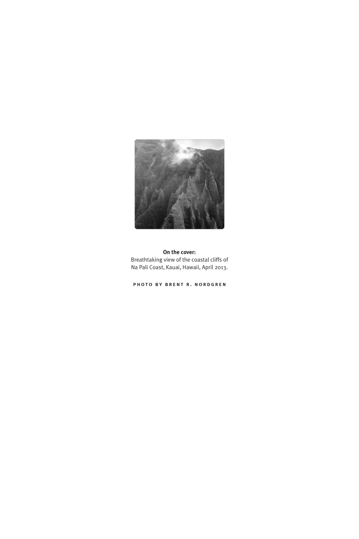

**On the cover:** Breathtaking view of the coastal cliffs of Na Pali Coast, Kauai, Hawaii, April 2013.

photo by brent r. nordgren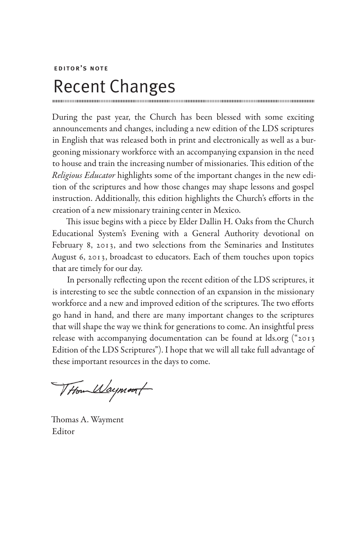editor's note

## Recent Changes

During the past year, the Church has been blessed with some exciting announcements and changes, including a new edition of the LDS scriptures in English that was released both in print and electronically as well as a burgeoning missionary workforce with an accompanying expansion in the need to house and train the increasing number of missionaries. This edition of the *Religious Educator* highlights some of the important changes in the new edition of the scriptures and how those changes may shape lessons and gospel instruction. Additionally, this edition highlights the Church's efforts in the creation of a new missionary training center in Mexico.

This issue begins with a piece by Elder Dallin H. Oaks from the Church Educational System's Evening with a General Authority devotional on February 8, 2013, and two selections from the Seminaries and Institutes August 6, 2013, broadcast to educators. Each of them touches upon topics that are timely for our day.

In personally reflecting upon the recent edition of the LDS scriptures, it is interesting to see the subtle connection of an expansion in the missionary workforce and a new and improved edition of the scriptures. The two efforts go hand in hand, and there are many important changes to the scriptures that will shape the way we think for generations to come. An insightful press release with accompanying documentation can be found at lds.org ("2013 Edition of the LDS Scriptures"). I hope that we will all take full advantage of these important resources in the days to come.

THom Waymout

Thomas A. Wayment Editor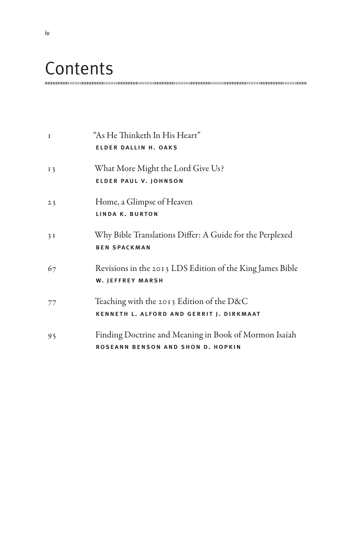## **Contents**

| $\mathbf I$    | "As He Thinketh In His Heart"<br><b>ELDER DALLIN H. OAKS</b>                               |
|----------------|--------------------------------------------------------------------------------------------|
| I <sub>3</sub> | What More Might the Lord Give Us?<br><b>ELDER PAUL V. JOHNSON</b>                          |
| 23             | Home, a Glimpse of Heaven<br>LINDA K. BURTON                                               |
| 3I             | Why Bible Translations Differ: A Guide for the Perplexed<br><b>BEN SPACKMAN</b>            |
| 67             | Revisions in the 2013 LDS Edition of the King James Bible<br><b>W. JEFFREY MARSH</b>       |
| 77             | Teaching with the 2013 Edition of the D&C<br>KENNETH L. ALFORD AND GERRIT J. DIRKMAAT      |
| 95             | Finding Doctrine and Meaning in Book of Mormon Isaiah<br>ROSEANN BENSON AND SHON D. HOPKIN |